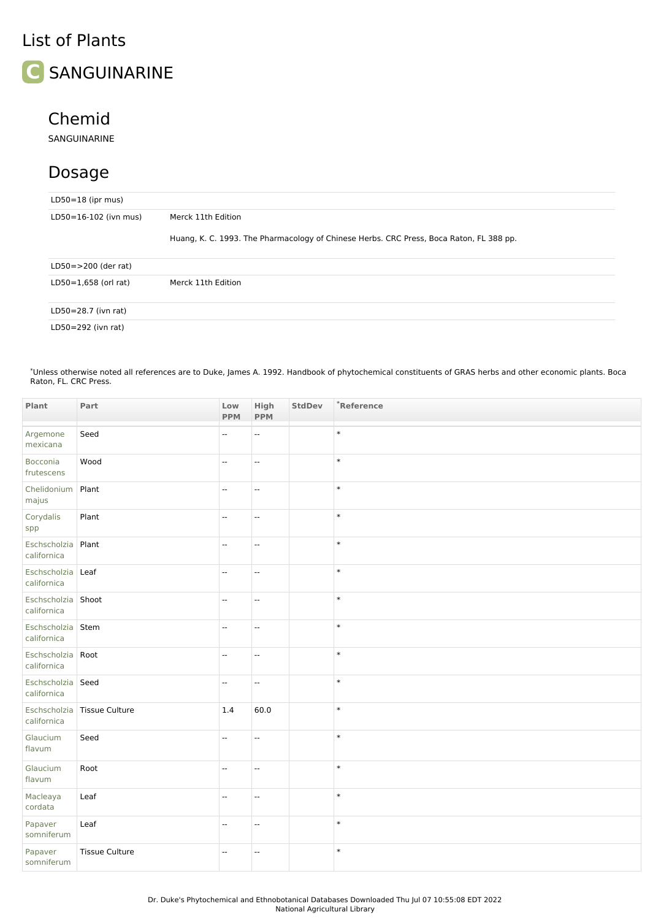## List of Plants



## Chemid

SANGUINARINE

## Dosage

| $LD50=18$ (ipr mus)      |                                                                                         |  |  |  |  |
|--------------------------|-----------------------------------------------------------------------------------------|--|--|--|--|
| LD50=16-102 (ivn mus)    | Merck 11th Edition                                                                      |  |  |  |  |
|                          | Huang, K. C. 1993. The Pharmacology of Chinese Herbs. CRC Press, Boca Raton, FL 388 pp. |  |  |  |  |
| $LD50 = > 200$ (der rat) |                                                                                         |  |  |  |  |
| $LD50=1,658$ (orl rat)   | Merck 11th Edition                                                                      |  |  |  |  |
| LD50=28.7 (ivn rat)      |                                                                                         |  |  |  |  |
| LD50=292 (ivn rat)       |                                                                                         |  |  |  |  |

Unless otherwise noted all references are to Duke, James A. 1992. Handbook of phytochemical constituents of GRAS herbs and other economic plants. Boca Raton, FL. CRC Press. \*

| Plant                              | Part                          | Low<br><b>PPM</b>        | High<br><b>PPM</b>       | <b>StdDev</b> | *Reference |
|------------------------------------|-------------------------------|--------------------------|--------------------------|---------------|------------|
| Argemone<br>mexicana               | Seed                          | $\overline{\phantom{a}}$ | u.                       |               | $\ast$     |
| Bocconia<br>frutescens             | Wood                          | Ξ.                       | Ξ.                       |               | $\ast$     |
| Chelidonium<br>majus               | Plant                         | $\overline{\phantom{a}}$ | Ξ.                       |               | $\ast$     |
| Corydalis<br>spp                   | Plant                         | ÷.                       | Ξ.                       |               | $\ast$     |
| Eschscholzia Plant<br>californica  |                               | $\sim$                   | $\overline{a}$           |               | $\ast$     |
| Eschscholzia Leaf<br>californica   |                               | $\overline{\phantom{a}}$ | $\overline{\phantom{a}}$ |               | $\ast$     |
| Eschscholzia Shoot<br>californica  |                               | Ξ.                       | Ξ.                       |               | $\ast$     |
| Eschscholzia Stem<br>californica   |                               | $\mathcal{L}$            | $\overline{\phantom{a}}$ |               | $\ast$     |
| Eschscholzia Root<br>californica   |                               | $\overline{\phantom{a}}$ | $\overline{\phantom{a}}$ |               | $\ast$     |
| Eschscholzia   Seed<br>californica |                               | $\overline{\phantom{a}}$ | $\overline{\phantom{a}}$ |               | $\ast$     |
| californica                        | Eschscholzia   Tissue Culture | 1.4                      | 60.0                     |               | $\ast$     |
| Glaucium<br>flavum                 | Seed                          | Ξ.                       | u.                       |               | $\ast$     |
| Glaucium<br>flavum                 | Root                          | $\overline{\phantom{a}}$ | $\overline{\phantom{a}}$ |               | $\ast$     |
| Macleaya<br>cordata                | Leaf                          | $\overline{\phantom{a}}$ | $\overline{\phantom{a}}$ |               | $\ast$     |
| Papaver<br>somniferum              | Leaf                          | $\mathcal{L}$            | $\overline{\phantom{a}}$ |               | $\ast$     |
| Papaver<br>somniferum              | <b>Tissue Culture</b>         | $\mathbf{u}$             | $\overline{\phantom{a}}$ |               | $\ast$     |